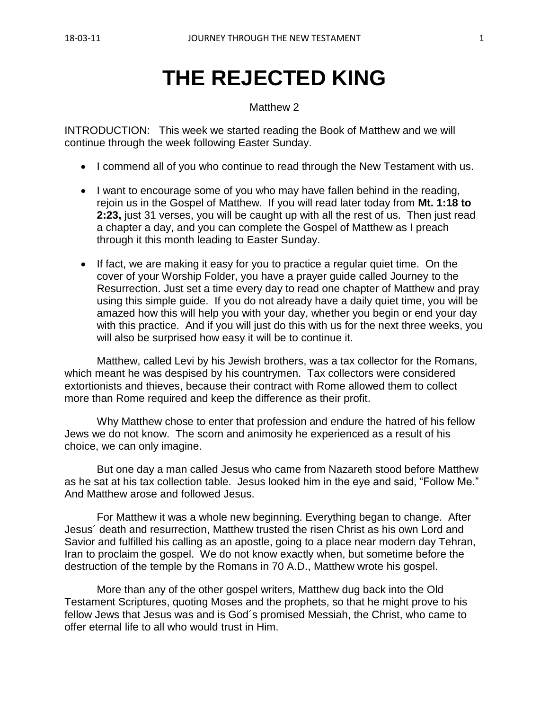# **THE REJECTED KING**

#### Matthew 2

INTRODUCTION: This week we started reading the Book of Matthew and we will continue through the week following Easter Sunday.

- I commend all of you who continue to read through the New Testament with us.
- I want to encourage some of you who may have fallen behind in the reading, rejoin us in the Gospel of Matthew. If you will read later today from **Mt. 1:18 to 2:23,** just 31 verses, you will be caught up with all the rest of us. Then just read a chapter a day, and you can complete the Gospel of Matthew as I preach through it this month leading to Easter Sunday.
- If fact, we are making it easy for you to practice a regular quiet time. On the cover of your Worship Folder, you have a prayer guide called Journey to the Resurrection. Just set a time every day to read one chapter of Matthew and pray using this simple guide. If you do not already have a daily quiet time, you will be amazed how this will help you with your day, whether you begin or end your day with this practice. And if you will just do this with us for the next three weeks, you will also be surprised how easy it will be to continue it.

Matthew, called Levi by his Jewish brothers, was a tax collector for the Romans, which meant he was despised by his countrymen. Tax collectors were considered extortionists and thieves, because their contract with Rome allowed them to collect more than Rome required and keep the difference as their profit.

Why Matthew chose to enter that profession and endure the hatred of his fellow Jews we do not know. The scorn and animosity he experienced as a result of his choice, we can only imagine.

But one day a man called Jesus who came from Nazareth stood before Matthew as he sat at his tax collection table. Jesus looked him in the eye and said, "Follow Me." And Matthew arose and followed Jesus.

For Matthew it was a whole new beginning. Everything began to change. After Jesus´ death and resurrection, Matthew trusted the risen Christ as his own Lord and Savior and fulfilled his calling as an apostle, going to a place near modern day Tehran, Iran to proclaim the gospel. We do not know exactly when, but sometime before the destruction of the temple by the Romans in 70 A.D., Matthew wrote his gospel.

More than any of the other gospel writers, Matthew dug back into the Old Testament Scriptures, quoting Moses and the prophets, so that he might prove to his fellow Jews that Jesus was and is God´s promised Messiah, the Christ, who came to offer eternal life to all who would trust in Him.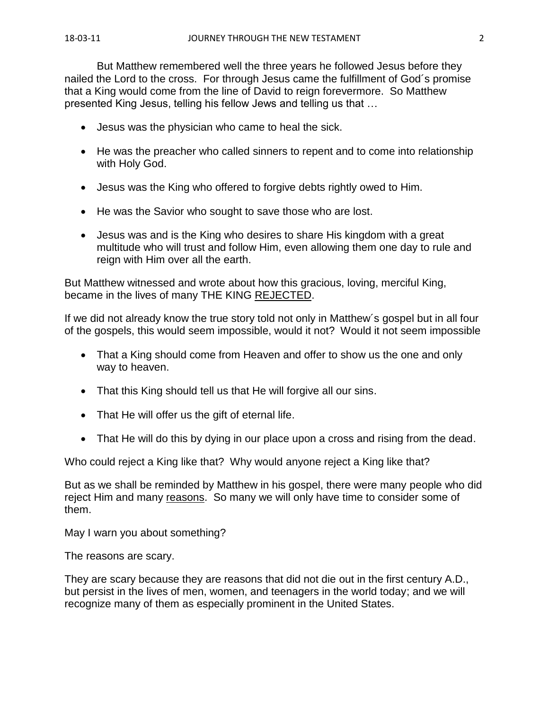But Matthew remembered well the three years he followed Jesus before they nailed the Lord to the cross. For through Jesus came the fulfillment of God´s promise that a King would come from the line of David to reign forevermore. So Matthew presented King Jesus, telling his fellow Jews and telling us that …

- Jesus was the physician who came to heal the sick.
- He was the preacher who called sinners to repent and to come into relationship with Holy God.
- Jesus was the King who offered to forgive debts rightly owed to Him.
- He was the Savior who sought to save those who are lost.
- Jesus was and is the King who desires to share His kingdom with a great multitude who will trust and follow Him, even allowing them one day to rule and reign with Him over all the earth.

But Matthew witnessed and wrote about how this gracious, loving, merciful King, became in the lives of many THE KING REJECTED.

If we did not already know the true story told not only in Matthew´s gospel but in all four of the gospels, this would seem impossible, would it not? Would it not seem impossible

- That a King should come from Heaven and offer to show us the one and only way to heaven.
- That this King should tell us that He will forgive all our sins.
- That He will offer us the gift of eternal life.
- That He will do this by dying in our place upon a cross and rising from the dead.

Who could reject a King like that? Why would anyone reject a King like that?

But as we shall be reminded by Matthew in his gospel, there were many people who did reject Him and many reasons. So many we will only have time to consider some of them.

May I warn you about something?

The reasons are scary.

They are scary because they are reasons that did not die out in the first century A.D., but persist in the lives of men, women, and teenagers in the world today; and we will recognize many of them as especially prominent in the United States.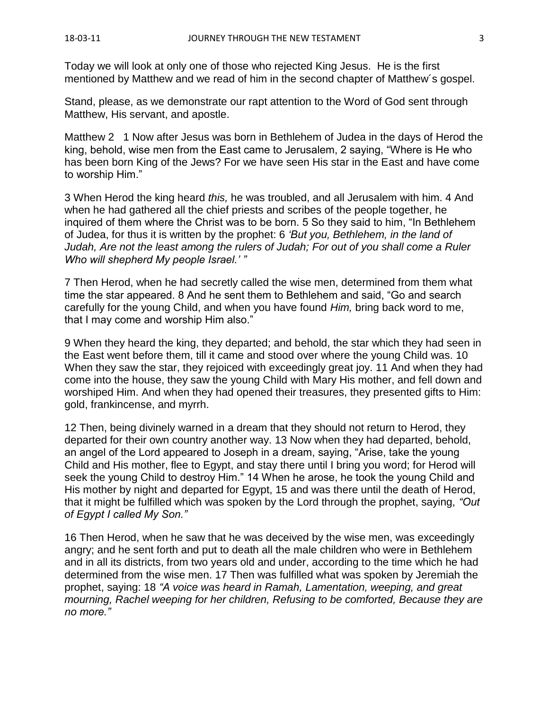Today we will look at only one of those who rejected King Jesus. He is the first mentioned by Matthew and we read of him in the second chapter of Matthew´s gospel.

Stand, please, as we demonstrate our rapt attention to the Word of God sent through Matthew, His servant, and apostle.

Matthew 2 1 Now after Jesus was born in Bethlehem of Judea in the days of Herod the king, behold, wise men from the East came to Jerusalem, 2 saying, "Where is He who has been born King of the Jews? For we have seen His star in the East and have come to worship Him."

3 When Herod the king heard *this,* he was troubled, and all Jerusalem with him. 4 And when he had gathered all the chief priests and scribes of the people together, he inquired of them where the Christ was to be born. 5 So they said to him, "In Bethlehem of Judea, for thus it is written by the prophet: 6 *'But you, Bethlehem, in the land of Judah, Are not the least among the rulers of Judah; For out of you shall come a Ruler Who will shepherd My people Israel.' "*

7 Then Herod, when he had secretly called the wise men, determined from them what time the star appeared. 8 And he sent them to Bethlehem and said, "Go and search carefully for the young Child, and when you have found *Him,* bring back word to me, that I may come and worship Him also."

9 When they heard the king, they departed; and behold, the star which they had seen in the East went before them, till it came and stood over where the young Child was. 10 When they saw the star, they rejoiced with exceedingly great joy. 11 And when they had come into the house, they saw the young Child with Mary His mother, and fell down and worshiped Him. And when they had opened their treasures, they presented gifts to Him: gold, frankincense, and myrrh.

12 Then, being divinely warned in a dream that they should not return to Herod, they departed for their own country another way. 13 Now when they had departed, behold, an angel of the Lord appeared to Joseph in a dream, saying, "Arise, take the young Child and His mother, flee to Egypt, and stay there until I bring you word; for Herod will seek the young Child to destroy Him." 14 When he arose, he took the young Child and His mother by night and departed for Egypt, 15 and was there until the death of Herod, that it might be fulfilled which was spoken by the Lord through the prophet, saying, *"Out of Egypt I called My Son."*

16 Then Herod, when he saw that he was deceived by the wise men, was exceedingly angry; and he sent forth and put to death all the male children who were in Bethlehem and in all its districts, from two years old and under, according to the time which he had determined from the wise men. 17 Then was fulfilled what was spoken by Jeremiah the prophet, saying: 18 *"A voice was heard in Ramah, Lamentation, weeping, and great mourning, Rachel weeping for her children, Refusing to be comforted, Because they are no more."*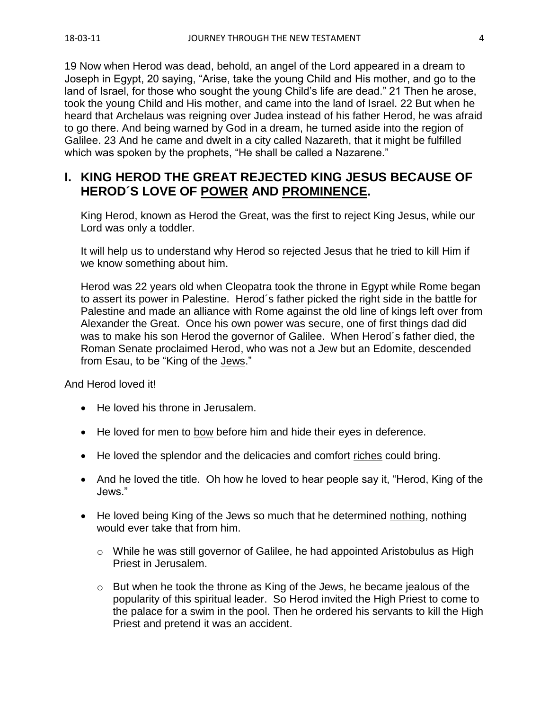19 Now when Herod was dead, behold, an angel of the Lord appeared in a dream to Joseph in Egypt, 20 saying, "Arise, take the young Child and His mother, and go to the land of Israel, for those who sought the young Child's life are dead." 21 Then he arose, took the young Child and His mother, and came into the land of Israel. 22 But when he heard that Archelaus was reigning over Judea instead of his father Herod, he was afraid to go there. And being warned by God in a dream, he turned aside into the region of Galilee. 23 And he came and dwelt in a city called Nazareth, that it might be fulfilled which was spoken by the prophets, "He shall be called a Nazarene."

## **I. KING HEROD THE GREAT REJECTED KING JESUS BECAUSE OF HEROD´S LOVE OF POWER AND PROMINENCE.**

King Herod, known as Herod the Great, was the first to reject King Jesus, while our Lord was only a toddler.

It will help us to understand why Herod so rejected Jesus that he tried to kill Him if we know something about him.

Herod was 22 years old when Cleopatra took the throne in Egypt while Rome began to assert its power in Palestine. Herod´s father picked the right side in the battle for Palestine and made an alliance with Rome against the old line of kings left over from Alexander the Great. Once his own power was secure, one of first things dad did was to make his son Herod the governor of Galilee. When Herod´s father died, the Roman Senate proclaimed Herod, who was not a Jew but an Edomite, descended from Esau, to be "King of the Jews."

And Herod loved it!

- He loved his throne in Jerusalem.
- He loved for men to bow before him and hide their eyes in deference.
- He loved the splendor and the delicacies and comfort riches could bring.
- And he loved the title. Oh how he loved to hear people say it, "Herod, King of the Jews."
- He loved being King of the Jews so much that he determined nothing, nothing would ever take that from him.
	- o While he was still governor of Galilee, he had appointed Aristobulus as High Priest in Jerusalem.
	- o But when he took the throne as King of the Jews, he became jealous of the popularity of this spiritual leader. So Herod invited the High Priest to come to the palace for a swim in the pool. Then he ordered his servants to kill the High Priest and pretend it was an accident.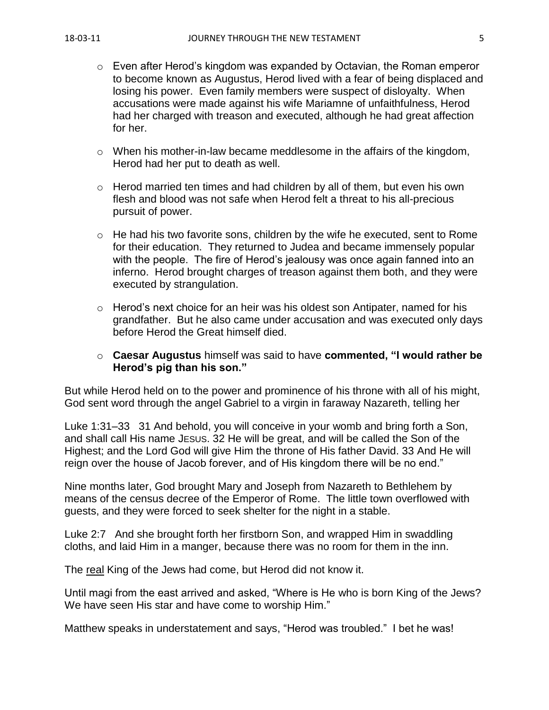- $\circ$  Even after Herod's kingdom was expanded by Octavian, the Roman emperor to become known as Augustus, Herod lived with a fear of being displaced and losing his power. Even family members were suspect of disloyalty. When accusations were made against his wife Mariamne of unfaithfulness, Herod had her charged with treason and executed, although he had great affection for her.
- $\circ$  When his mother-in-law became meddlesome in the affairs of the kingdom, Herod had her put to death as well.
- o Herod married ten times and had children by all of them, but even his own flesh and blood was not safe when Herod felt a threat to his all-precious pursuit of power.
- $\circ$  He had his two favorite sons, children by the wife he executed, sent to Rome for their education. They returned to Judea and became immensely popular with the people. The fire of Herod's jealousy was once again fanned into an inferno. Herod brought charges of treason against them both, and they were executed by strangulation.
- $\circ$  Herod's next choice for an heir was his oldest son Antipater, named for his grandfather. But he also came under accusation and was executed only days before Herod the Great himself died.
- o **Caesar Augustus** himself was said to have **commented, "I would rather be Herod's pig than his son."**

But while Herod held on to the power and prominence of his throne with all of his might, God sent word through the angel Gabriel to a virgin in faraway Nazareth, telling her

Luke 1:31–33 31 And behold, you will conceive in your womb and bring forth a Son, and shall call His name JESUS. 32 He will be great, and will be called the Son of the Highest; and the Lord God will give Him the throne of His father David. 33 And He will reign over the house of Jacob forever, and of His kingdom there will be no end."

Nine months later, God brought Mary and Joseph from Nazareth to Bethlehem by means of the census decree of the Emperor of Rome. The little town overflowed with guests, and they were forced to seek shelter for the night in a stable.

Luke 2:7 And she brought forth her firstborn Son, and wrapped Him in swaddling cloths, and laid Him in a manger, because there was no room for them in the inn.

The real King of the Jews had come, but Herod did not know it.

Until magi from the east arrived and asked, "Where is He who is born King of the Jews? We have seen His star and have come to worship Him."

Matthew speaks in understatement and says, "Herod was troubled." I bet he was!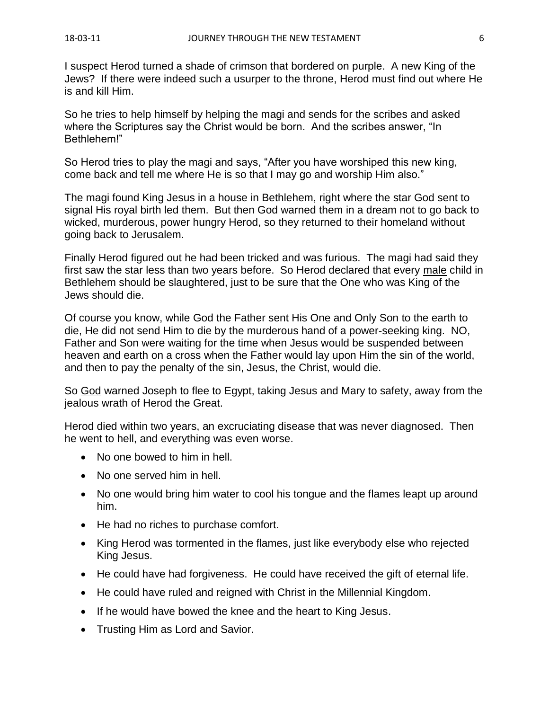I suspect Herod turned a shade of crimson that bordered on purple. A new King of the Jews? If there were indeed such a usurper to the throne, Herod must find out where He is and kill Him.

So he tries to help himself by helping the magi and sends for the scribes and asked where the Scriptures say the Christ would be born. And the scribes answer, "In Bethlehem!"

So Herod tries to play the magi and says, "After you have worshiped this new king, come back and tell me where He is so that I may go and worship Him also."

The magi found King Jesus in a house in Bethlehem, right where the star God sent to signal His royal birth led them. But then God warned them in a dream not to go back to wicked, murderous, power hungry Herod, so they returned to their homeland without going back to Jerusalem.

Finally Herod figured out he had been tricked and was furious. The magi had said they first saw the star less than two years before. So Herod declared that every male child in Bethlehem should be slaughtered, just to be sure that the One who was King of the Jews should die.

Of course you know, while God the Father sent His One and Only Son to the earth to die, He did not send Him to die by the murderous hand of a power-seeking king. NO, Father and Son were waiting for the time when Jesus would be suspended between heaven and earth on a cross when the Father would lay upon Him the sin of the world, and then to pay the penalty of the sin, Jesus, the Christ, would die.

So God warned Joseph to flee to Egypt, taking Jesus and Mary to safety, away from the jealous wrath of Herod the Great.

Herod died within two years, an excruciating disease that was never diagnosed. Then he went to hell, and everything was even worse.

- No one bowed to him in hell.
- No one served him in hell.
- No one would bring him water to cool his tongue and the flames leapt up around him.
- He had no riches to purchase comfort.
- King Herod was tormented in the flames, just like everybody else who rejected King Jesus.
- He could have had forgiveness. He could have received the gift of eternal life.
- He could have ruled and reigned with Christ in the Millennial Kingdom.
- If he would have bowed the knee and the heart to King Jesus.
- Trusting Him as Lord and Savior.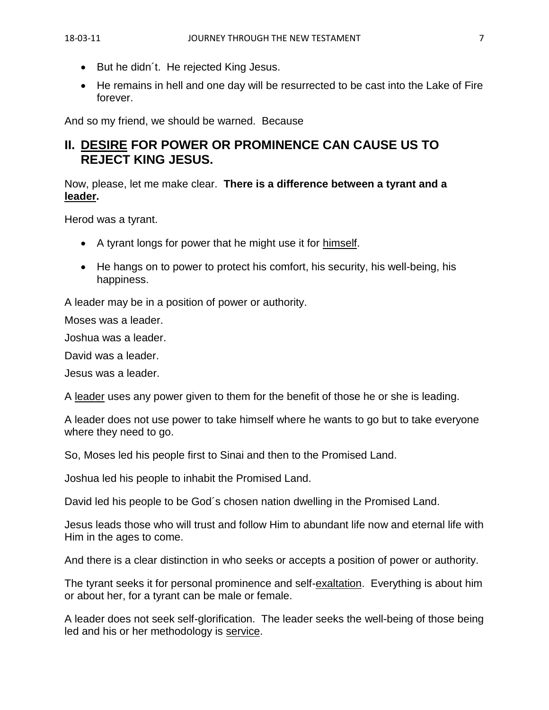- But he didn´t. He rejected King Jesus.
- He remains in hell and one day will be resurrected to be cast into the Lake of Fire forever.

And so my friend, we should be warned. Because

## **II. DESIRE FOR POWER OR PROMINENCE CAN CAUSE US TO REJECT KING JESUS.**

Now, please, let me make clear. **There is a difference between a tyrant and a leader.**

Herod was a tyrant.

- A tyrant longs for power that he might use it for himself.
- He hangs on to power to protect his comfort, his security, his well-being, his happiness.

A leader may be in a position of power or authority.

Moses was a leader.

Joshua was a leader.

David was a leader.

Jesus was a leader.

A leader uses any power given to them for the benefit of those he or she is leading.

A leader does not use power to take himself where he wants to go but to take everyone where they need to go.

So, Moses led his people first to Sinai and then to the Promised Land.

Joshua led his people to inhabit the Promised Land.

David led his people to be God´s chosen nation dwelling in the Promised Land.

Jesus leads those who will trust and follow Him to abundant life now and eternal life with Him in the ages to come.

And there is a clear distinction in who seeks or accepts a position of power or authority.

The tyrant seeks it for personal prominence and self-exaltation. Everything is about him or about her, for a tyrant can be male or female.

A leader does not seek self-glorification. The leader seeks the well-being of those being led and his or her methodology is service.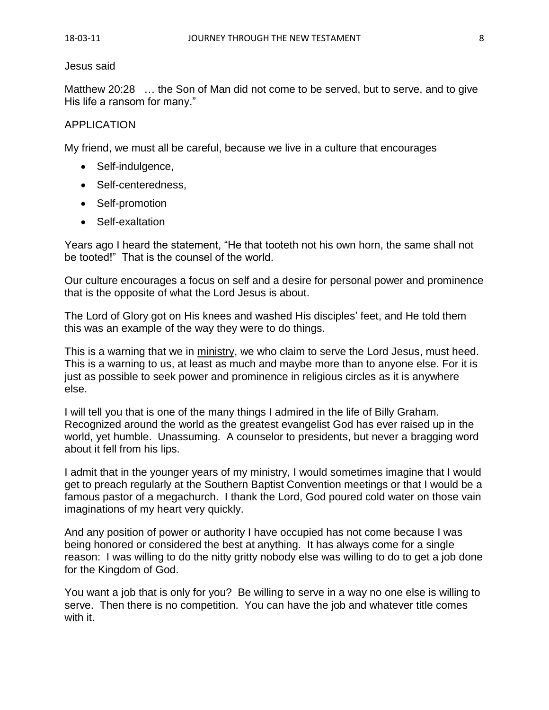#### Jesus said

Matthew 20:28 … the Son of Man did not come to be served, but to serve, and to give His life a ransom for many."

### APPLICATION

My friend, we must all be careful, because we live in a culture that encourages

- Self-indulgence,
- Self-centeredness,
- Self-promotion
- Self-exaltation

Years ago I heard the statement, "He that tooteth not his own horn, the same shall not be tooted!" That is the counsel of the world.

Our culture encourages a focus on self and a desire for personal power and prominence that is the opposite of what the Lord Jesus is about.

The Lord of Glory got on His knees and washed His disciples' feet, and He told them this was an example of the way they were to do things.

This is a warning that we in ministry, we who claim to serve the Lord Jesus, must heed. This is a warning to us, at least as much and maybe more than to anyone else. For it is just as possible to seek power and prominence in religious circles as it is anywhere else.

I will tell you that is one of the many things I admired in the life of Billy Graham. Recognized around the world as the greatest evangelist God has ever raised up in the world, yet humble. Unassuming. A counselor to presidents, but never a bragging word about it fell from his lips.

I admit that in the younger years of my ministry, I would sometimes imagine that I would get to preach regularly at the Southern Baptist Convention meetings or that I would be a famous pastor of a megachurch. I thank the Lord, God poured cold water on those vain imaginations of my heart very quickly.

And any position of power or authority I have occupied has not come because I was being honored or considered the best at anything. It has always come for a single reason: I was willing to do the nitty gritty nobody else was willing to do to get a job done for the Kingdom of God.

You want a job that is only for you? Be willing to serve in a way no one else is willing to serve. Then there is no competition. You can have the job and whatever title comes with it.